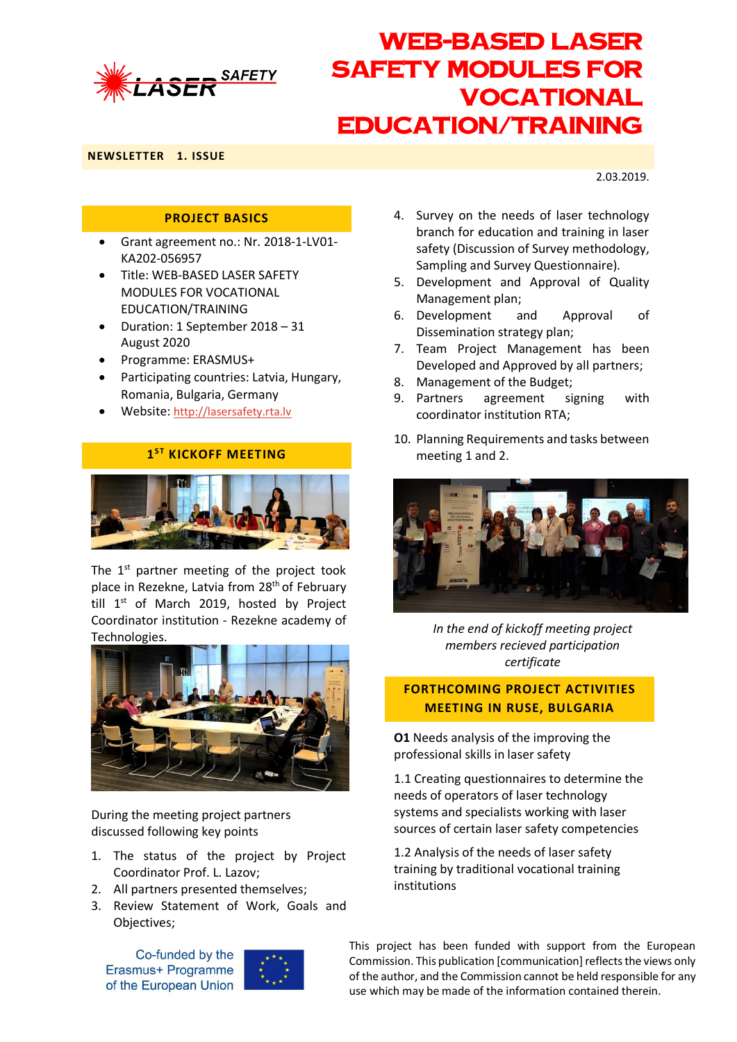

**NEWSLETTER 1. ISSUE**

2.03.2019.

### **PROJECT BASICS**

- Grant agreement no.: Nr. 2018-1-LV01- KA202-056957
- Title: WEB-BASED LASER SAFETY MODULES FOR VOCATIONAL EDUCATION/TRAINING
- Duration: 1 September 2018 31 August 2020
- Programme: ERASMUS+
- Participating countries: Latvia, Hungary, Romania, Bulgaria, Germany
- Website: [http://lasersafety.rta.lv](http://lasersafety.rta.lv/)

### $1<sup>ST</sup>$  **KICKOFF MEETING**



The  $1<sup>st</sup>$  partner meeting of the project took place in Rezekne, Latvia from 28<sup>th</sup> of February till  $1<sup>st</sup>$  of March 2019, hosted by Project Coordinator institution - Rezekne academy of **Technologies** 



During the meeting project partners discussed following key points

- 1. The status of the project by Project Coordinator Prof. L. Lazov;
- 2. All partners presented themselves;
- 3. Review Statement of Work, Goals and Objectives;

Co-funded by the Erasmus+ Programme of the European Union



- 4. Survey on the needs of laser technology branch for education and training in laser safety (Discussion of Survey methodology, Sampling and Survey Questionnaire).
- 5. Development and Approval of Quality Management plan;
- 6. Development and Approval of Dissemination strategy plan;
- 7. Team Project Management has been Developed and Approved by all partners;
- 8. Management of the Budget;
- 9. Partners agreement signing with coordinator institution RTA;
- 10. Planning Requirements and tasks between meeting 1 and 2.



*In the end of kickoff meeting project members recieved participation certificate*

### **FORTHCOMING PROJECT ACTIVITIES MEETING IN RUSE, BULGARIA**

**O1** Needs analysis of the improving the professional skills in laser safety

1.1 Creating questionnaires to determine the needs of operators of laser technology systems and specialists working with laser sources of certain laser safety competencies

1.2 Analysis of the needs of laser safety training by traditional vocational training institutions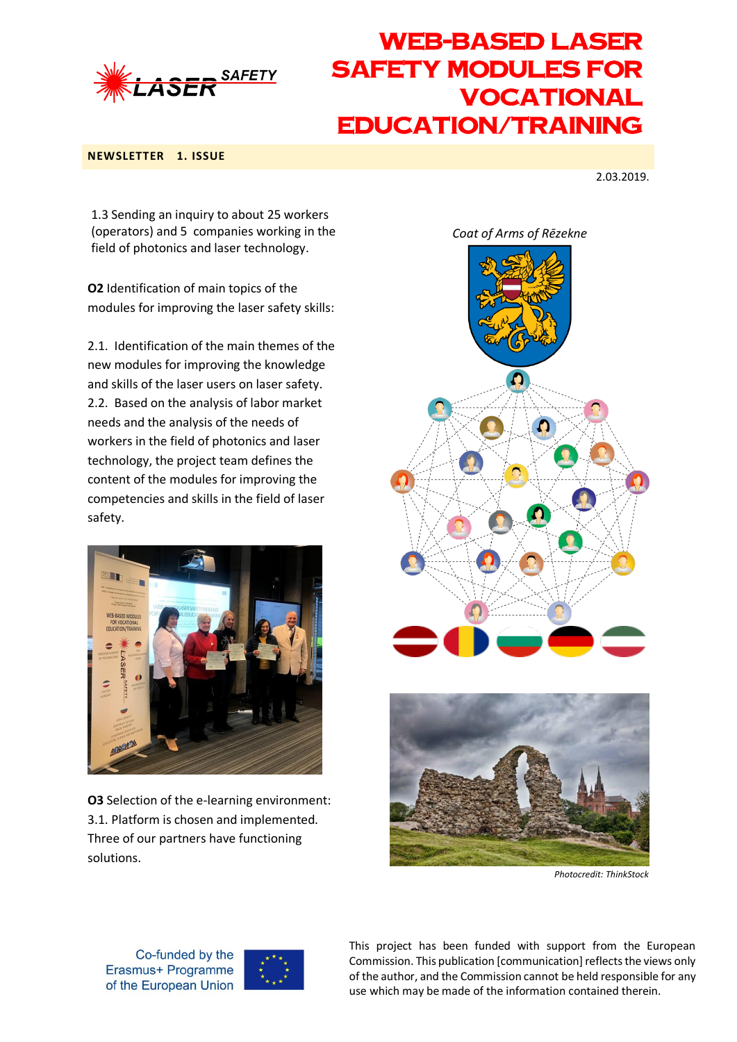

#### **NEWSLETTER 1. ISSUE**

2.03.2019.

1.3 Sending an inquiry to about 25 workers (operators) and 5 companies working in the field of photonics and laser technology.

**O2** Identification of main topics of the modules for improving the laser safety skills:

2.1. Identification of the main themes of the new modules for improving the knowledge and skills of the laser users on laser safety. 2.2. Based on the analysis of labor market needs and the analysis of the needs of workers in the field of photonics and laser technology, the project team defines the content of the modules for improving the competencies and skills in the field of laser safety.



**O3** Selection of the e-learning environment: 3.1. Platform is chosen and implemented. Three of our partners have functioning solutions.





*Photocredit: ThinkStock* 

Co-funded by the Erasmus+ Programme of the European Union

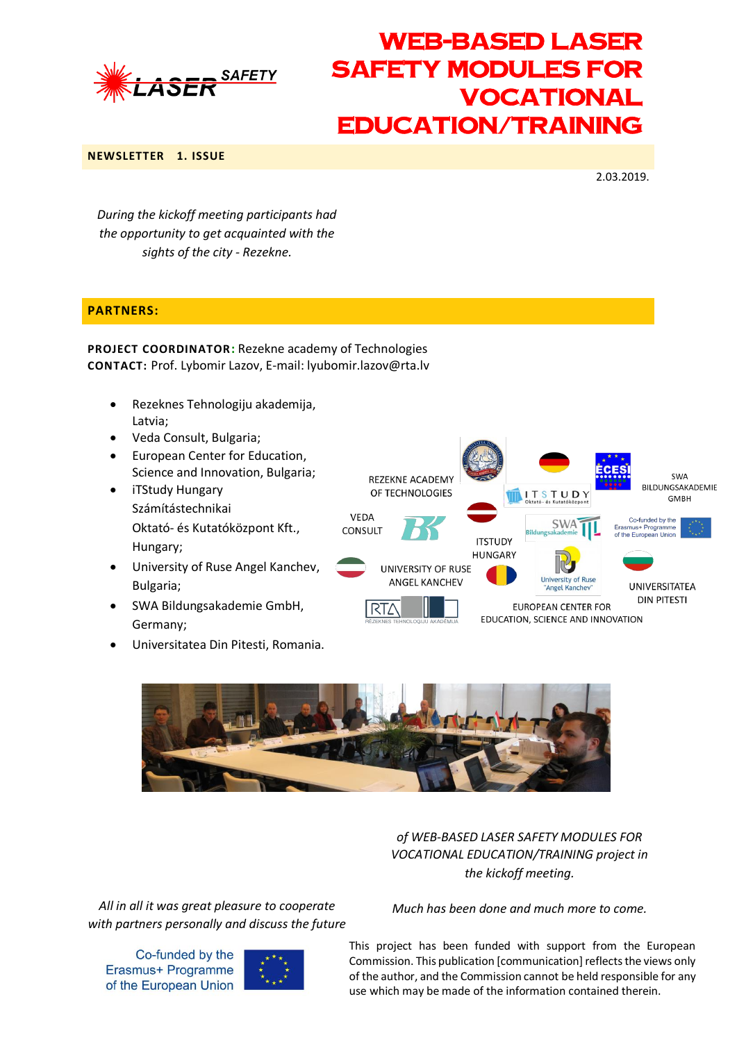

#### **NEWSLETTER 1. ISSUE**

2.03.2019.

*During the kickoff meeting participants had the opportunity to get acquainted with the sights of the city - Rezekne.*

### **PARTNERS:**

**PROJECT COORDINATOR:** Rezekne academy of Technologies **CONTACT:** Prof. Lybomir Lazov, E-mail: lyubomir.lazov@rta.lv

- Rezeknes Tehnologiju akademija, Latvia;
- Veda Consult, Bulgaria;
- European Center for Education, Science and Innovation, Bulgaria;
- iTStudy Hungary Számítástechnikai Oktató- és Kutatóközpont Kft., Hungary;
- University of Ruse Angel Kanchev, Bulgaria;
- SWA Bildungsakademie GmbH, Germany;
- Universitatea Din Pitesti, Romania.





*of WEB-BASED LASER SAFETY MODULES FOR VOCATIONAL EDUCATION/TRAINING project in the kickoff meeting.* 

*All in all it was great pleasure to cooperate with partners personally and discuss the future* 

Co-funded by the Erasmus+ Programme of the European Union



*Much has been done and much more to come.*